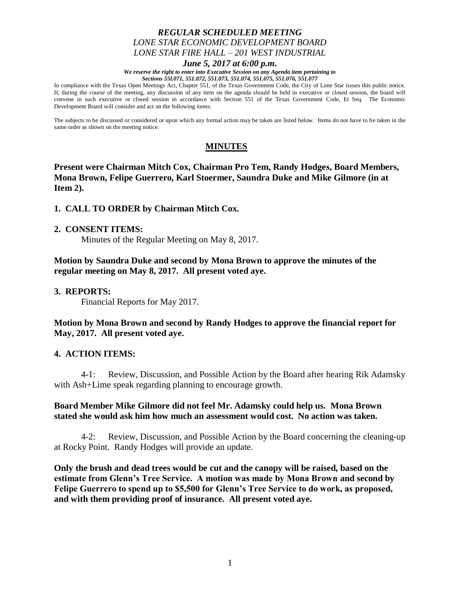#### *REGULAR SCHEDULED MEETING LONE STAR ECONOMIC DEVELOPMENT BOARD LONE STAR FIRE HALL – 201 WEST INDUSTRIAL*

#### *June 5, 2017 at 6:00 p.m.*

*We reserve the right to enter into Executive Session on any Agenda item pertaining to Sections 55l.071, 551.072, 551.073, 551.074, 551.075, 551.076, 551.077*

In compliance with the Texas Open Meetings Act, Chapter 551, of the Texas Government Code, the City of Lone Star issues this public notice. If, during the course of the meeting, any discussion of any item on the agenda should be held in executive or closed session, the board will convene in such executive or closed session in accordance with Section 551 of the Texas Government Code, Et Seq. The Economic Development Board will consider and act on the following items:

The subjects to be discussed or considered or upon which any formal action may be taken are listed below. Items do not have to be taken in the same order as shown on the meeting notice.

### **MINUTES**

**Present were Chairman Mitch Cox, Chairman Pro Tem, Randy Hodges, Board Members, Mona Brown, Felipe Guerrero, Karl Stoermer, Saundra Duke and Mike Gilmore (in at Item 2).**

#### **1. CALL TO ORDER by Chairman Mitch Cox.**

#### **2. CONSENT ITEMS:**

Minutes of the Regular Meeting on May 8, 2017.

**Motion by Saundra Duke and second by Mona Brown to approve the minutes of the regular meeting on May 8, 2017. All present voted aye.**

#### **3. REPORTS:**

Financial Reports for May 2017.

**Motion by Mona Brown and second by Randy Hodges to approve the financial report for May, 2017. All present voted aye.**

#### **4. ACTION ITEMS:**

4-1: Review, Discussion, and Possible Action by the Board after hearing Rik Adamsky with Ash+Lime speak regarding planning to encourage growth.

#### **Board Member Mike Gilmore did not feel Mr. Adamsky could help us. Mona Brown stated she would ask him how much an assessment would cost. No action was taken.**

4-2: Review, Discussion, and Possible Action by the Board concerning the cleaning-up at Rocky Point. Randy Hodges will provide an update.

**Only the brush and dead trees would be cut and the canopy will be raised, based on the estimate from Glenn's Tree Service. A motion was made by Mona Brown and second by Felipe Guerrero to spend up to \$5,500 for Glenn's Tree Service to do work, as proposed, and with them providing proof of insurance. All present voted aye.**